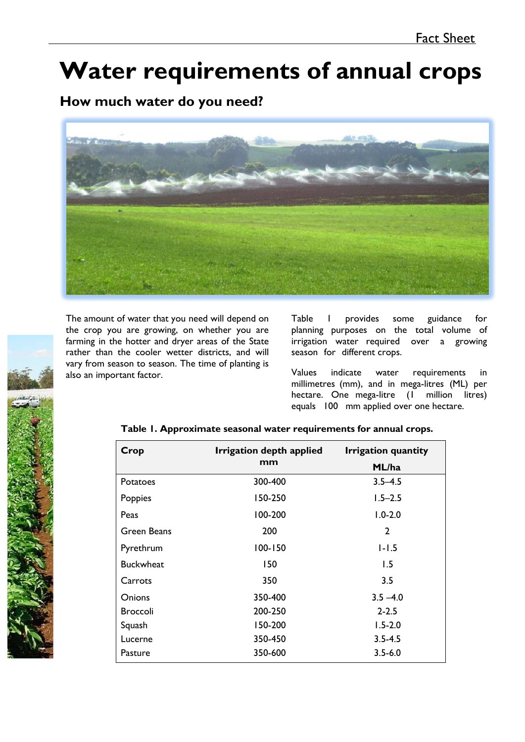# **Water requirements of annual crops**

# **How much water do you need?**



The amount of water that you need will depend on the crop you are growing, on whether you are farming in the hotter and dryer areas of the State rather than the cooler wetter districts, and will vary from season to season. The time of planting is also an important factor.

Table 1 provides some guidance for planning purposes on the total volume of irrigation water required over a growing season for different crops.

Values indicate water requirements in millimetres (mm), and in mega-litres (ML) per hectare. One mega-litre (1 million litres) equals 100 mm applied over one hectare.



## **Table 1. Approximate seasonal water requirements for annual crops.**

| Crop             | Irrigation depth applied | <b>Irrigation quantity</b> |  |
|------------------|--------------------------|----------------------------|--|
|                  | mm                       | ML/ha                      |  |
| Potatoes         | 300-400                  | $3.5 - 4.5$                |  |
| Poppies          | 150-250                  | $1.5 - 2.5$                |  |
| Peas             | 100-200                  | $1.0 - 2.0$                |  |
| Green Beans      | 200                      | 2                          |  |
| Pyrethrum        | $100 - 150$              | $1 - 1.5$                  |  |
| <b>Buckwheat</b> | 150                      | 1.5                        |  |
| Carrots          | 350                      | 3.5                        |  |
| <b>Onions</b>    | 350-400                  | $3.5 - 4.0$                |  |
| <b>Broccoli</b>  | 200-250                  | $2 - 2.5$                  |  |
| Squash           | 150-200                  | $1.5 - 2.0$                |  |
| Lucerne          | 350-450                  | $3.5 - 4.5$                |  |
| Pasture          | 350-600                  | $3.5 - 6.0$                |  |
|                  |                          |                            |  |